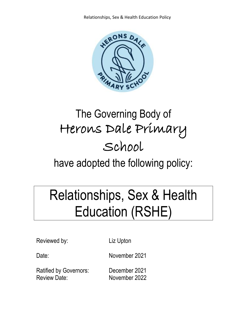

# The Governing Body of Herons Dale Primary School

have adopted the following policy:

# Relationships, Sex & Health Education (RSHE)

Reviewed by: Liz Upton

Date: November 2021

Ratified by Governors: December 2021 Review Date: November 2022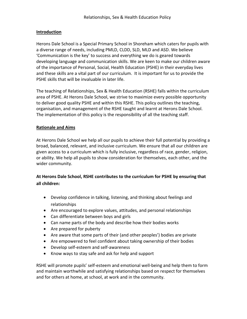# **Introduction**

Herons Dale School is a Special Primary School in Shoreham which caters for pupils with a diverse range of needs, including PMLD, CLDD, SLD, MLD and ASD. We believe 'Communication is the key' to success and everything we do is geared towards developing language and communication skills. We are keen to make our children aware of the importance of Personal, Social, Health Education (PSHE) in their everyday lives and these skills are a vital part of our curriculum. It is important for us to provide the PSHE skills that will be invaluable in later life.

The teaching of Relationships, Sex & Health Education (RSHE) falls within the curriculum area of PSHE. At Herons Dale School, we strive to maximize every possible opportunity to deliver good quality PSHE and within this RSHE. This policy outlines the teaching, organisation, and management of the RSHE taught and learnt at Herons Dale School. The implementation of this policy is the responsibility of all the teaching staff.

# **Rationale and Aims**

At Herons Dale School we help all our pupils to achieve their full potential by providing a broad, balanced, relevant, and inclusive curriculum. We ensure that all our children are given access to a curriculum which is fully inclusive, regardless of race, gender, religion, or ability. We help all pupils to show consideration for themselves, each other, and the wider community.

# **At Herons Dale School, RSHE contributes to the curriculum for PSHE by ensuring that all children:**

- Develop confidence in talking, listening, and thinking about feelings and relationships
- Are encouraged to explore values, attitudes, and personal relationships
- Can differentiate between boys and girls
- Can name parts of the body and describe how their bodies works
- Are prepared for puberty
- Are aware that some parts of their (and other peoples') bodies are private
- Are empowered to feel confident about taking ownership of their bodies
- Develop self-esteem and self-awareness
- Know ways to stay safe and ask for help and support

RSHE will promote pupils' self-esteem and emotional well-being and help them to form and maintain worthwhile and satisfying relationships based on respect for themselves and for others at home, at school, at work and in the community.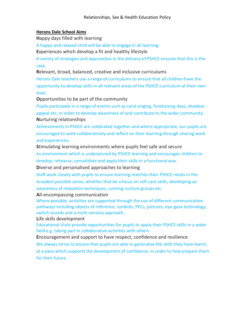# **Herons Dale School Aims**

**H**appy days filled with learning

A happy and relaxed child will be able to engage in all learning.

**E**xperiences which develop a fit and healthy lifestyle

A variety of strategies and approaches in the delivery of PSHCE ensures that this is the case.

**R**elevant, broad, balanced, creative and inclusive curriculums

Herons Dale teachers use a range of curriculums to ensure that all children have the opportunity to develop skills in all relevant areas of the PSHCE curriculum at their own level.

**O**pportunities to be part of the community

Pupils participate in a range of events such as carol singing, fundraising days, shoebox appeal etc. in order to develop awareness of and contribute to the wider community. **N**urturing relationships

Achievements in PSHCE are celebrated together and where appropriate, our pupils are encouraged to work collaboratively and reflect on their learning through sharing work and experiences.

**S**timulating learning environments where pupils feel safe and secure An environment which is underpinned by PSHCE learning and encourages children to develop, rehearse, consolidate and apply their skills in a functional way.

**D**iverse and personalised approaches to learning

Staff work closely with pupils to ensure learning matches their PSHCE needs in the broadest possible sense, whether that be a focus on self-care skills, developing an awareness of relaxation techniques, running nurture groups etc.

**A**ll-encompassing communication

Where possible, activities are supported through the use of different communication pathways including objects of reference, symbols, PECs, pictures, eye-gaze technology, switch sounds and a multi-sensory approach.

**L**ife skills development

Educational Visits provide opportunities for pupils to apply their PSHCE skills in a wider field e.g. taking part in collaborative activities with others

**E**ncouragement and support to have respect, confidence and resilience We always strive to ensure that pupils are able to generalise the skills they have learnt, at a pace which supports the development of confidence, in order to help prepare them for their future.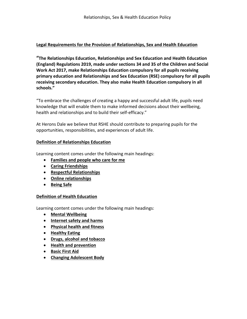# **Legal Requirements for the Provision of Relationships, Sex and Health Education**

**"The Relationships Education, Relationships and Sex Education and Health Education (England) Regulations 2019, made under sections 34 and 35 of the Children and Social Work Act 2017, make Relationships Education compulsory for all pupils receiving primary education and Relationships and Sex Education (RSE) compulsory for all pupils receiving secondary education. They also make Health Education compulsory in all schools."**

"To embrace the challenges of creating a happy and successful adult life, pupils need knowledge that will enable them to make informed decisions about their wellbeing, health and relationships and to build their self-efficacy."

At Herons Dale we believe that RSHE should contribute to preparing pupils for the opportunities, responsibilities, and experiences of adult life.

# **Definition of Relationships Education**

Learning content comes under the following main headings:

- **Families and people who care for me**
- **Caring Friendships**
- **Respectful Relationships**
- **Online relationships**
- **Being Safe**

# **Definition of Health Education**

Learning content comes under the following main headings:

- **Mental Wellbeing**
- **Internet safety and harms**
- **Physical health and fitness**
- **Healthy Eating**
- **Drugs, alcohol and tobacco**
- **Health and prevention**
- **Basic First Aid**
- **Changing Adolescent Body**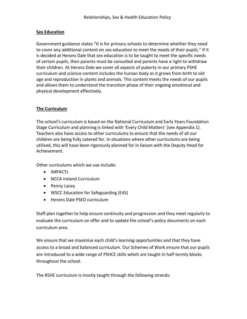#### **Sex Education**

Government guidance states "It is for primary schools to determine whether they need to cover any additional content on sex education to meet the needs of their pupils." If it is decided at Herons Dale that sex education is to be taught to meet the specific needs of certain pupils, then parents must be consulted and parents have a right to withdraw their children. At Herons Dale we cover all aspects of puberty in our primary PSHE curriculum and science content includes the human body as it grows from birth to old age and reproduction in plants and animals. This content meets the needs of our pupils and allows them to understand the transition phase of their ongoing emotional and physical development effectively.

# **The Curriculum**

The school's curriculum is based on the National Curriculum and Early Years Foundation Stage Curriculum and planning is linked with 'Every Child Matters' (see Appendix 1). Teachers also have access to other curriculums to ensure that the needs of all our children are being fully catered for. In situations where other curriculums are being utilised, this will have been rigorously planned for in liaison with the Deputy Head for Achievement.

Other curriculums which we use include:

- IMPACTs
- NCCA Ireland Curriculum
- Penny Lacey
- WSCC Education for Safeguarding (E4S)
- Herons Dale PSED curriculum

Staff plan together to help ensure continuity and progression and they meet regularly to evaluate the curriculum on offer and to update the school's policy documents on each curriculum area.

We ensure that we maximise each child's learning opportunities and that they have access to a broad and balanced curriculum. Our Schemes of Work ensure that our pupils are introduced to a wide range of PSHCE skills which are taught in half-termly blocks throughout the school.

The RSHE curriculum is mostly taught through the following strands: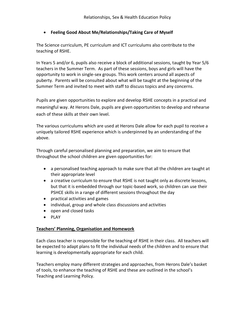# • **Feeling Good About Me/Relationships/Taking Care of Myself**

The Science curriculum, PE curriculum and ICT curriculums also contribute to the teaching of RSHE.

In Years 5 and/or 6, pupils also receive a block of additional sessions, taught by Year 5/6 teachers in the Summer Term. As part of these sessions, boys and girls will have the opportunity to work in single-sex groups. This work centers around all aspects of puberty. Parents will be consulted about what will be taught at the beginning of the Summer Term and invited to meet with staff to discuss topics and any concerns.

Pupils are given opportunities to explore and develop RSHE concepts in a practical and meaningful way. At Herons Dale, pupils are given opportunities to develop and rehearse each of these skills at their own level.

The various curriculums which are used at Herons Dale allow for each pupil to receive a uniquely tailored RSHE experience which is underpinned by an understanding of the above.

Through careful personalised planning and preparation, we aim to ensure that throughout the school children are given opportunities for:

- a personalised teaching approach to make sure that all the children are taught at their appropriate level
- a creative curriculum to ensure that RSHE is not taught only as discrete lessons, but that it is embedded through our topic-based work, so children can use their PSHCE skills in a range of different sessions throughout the day
- practical activities and games
- individual, group and whole class discussions and activities
- open and closed tasks
- PLAY

# **Teachers' Planning, Organisation and Homework**

Each class teacher is responsible for the teaching of RSHE in their class. All teachers will be expected to adapt plans to fit the individual needs of the children and to ensure that learning is developmentally appropriate for each child.

Teachers employ many different strategies and approaches, from Herons Dale's basket of tools, to enhance the teaching of RSHE and these are outlined in the school's Teaching and Learning Policy.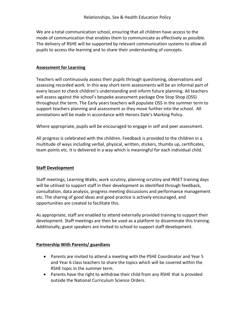We are a total communication school, ensuring that all children have access to the mode of communication that enables them to communicate as effectively as possible. The delivery of RSHE will be supported by relevant communication systems to allow all pupils to access the learning and to share their understanding of concepts.

#### **Assessment for Learning**

Teachers will continuously assess their pupils through questioning, observations and assessing recorded work. In this way short-term assessments will be an informal part of every lesson to check children's understanding and inform future planning. All teachers will assess against the school's bespoke assessment package One Stop Shop (OSS) throughout the term. The Early years teachers will populate OSS in the summer term to support teachers planning and assessment as they move further into the school. All annotations will be made in accordance with Herons Dale's Marking Policy.

Where appropriate, pupils will be encouraged to engage in self and peer assessment.

All progress is celebrated with the children. Feedback is provided to the children in a multitude of ways including verbal, physical, written, stickers, thumbs up, certificates, team points etc. It is delivered in a way which is meaningful for each individual child.

#### **Staff Development**

Staff meetings, Learning Walks, work scrutiny, planning scrutiny and INSET training days will be utilised to support staff in their development as identified through feedback, consultation, data analysis, progress meeting discussions and performance management etc. The sharing of good ideas and good practice is actively encouraged, and opportunities are created to facilitate this.

As appropriate, staff are enabled to attend externally provided training to support their development. Staff meetings are then be used as a platform to disseminate this training. Additionally, guest speakers are invited to school to support staff development.

#### **Partnership With Parents/ guardians**

- Parents are invited to attend a meeting with the PSHE Coordinator and Year 5 and Year 6 class teachers to share the topics which will be covered within the RSHE topic in the summer term.
- Parents have the right to withdraw their child from any RSHE that is provided outside the National Curriculum Science Orders.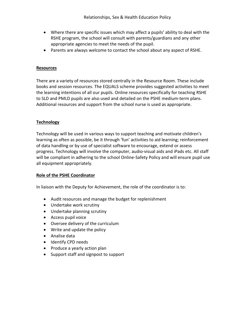- Where there are specific issues which may affect a pupils' ability to deal with the RSHE program, the school will consult with parents/guardians and any other appropriate agencies to meet the needs of the pupil.
- Parents are always welcome to contact the school about any aspect of RSHE.

#### **Resources**

There are a variety of resources stored centrally in the Resource Room. These include books and session resources. The EQUALS scheme provides suggested activities to meet the learning intentions of all our pupils. Online resources specifically for teaching RSHE to SLD and PMLD pupils are also used and detailed on the PSHE medium-term plans. Additional resources and support from the school nurse is used as appropriate.

# **Technology**

Technology will be used in various ways to support teaching and motivate children's learning as often as possible, be it through 'fun' activities to aid learning; reinforcement of data handling or by use of specialist software to encourage, extend or assess progress. Technology will involve the computer, audio-visual aids and iPads etc. All staff will be compliant in adhering to the school Online-Safety Policy and will ensure pupil use all equipment appropriately.

# **Role of the PSHE Coordinator**

In liaison with the Deputy for Achievement, the role of the coordinator is to:

- Audit resources and manage the budget for replenishment
- Undertake work scrutiny
- Undertake planning scrutiny
- Access pupil voice
- Oversee delivery of the curriculum
- Write and update the policy
- Analise data
- Identify CPD needs
- Produce a yearly action plan
- Support staff and signpost to support